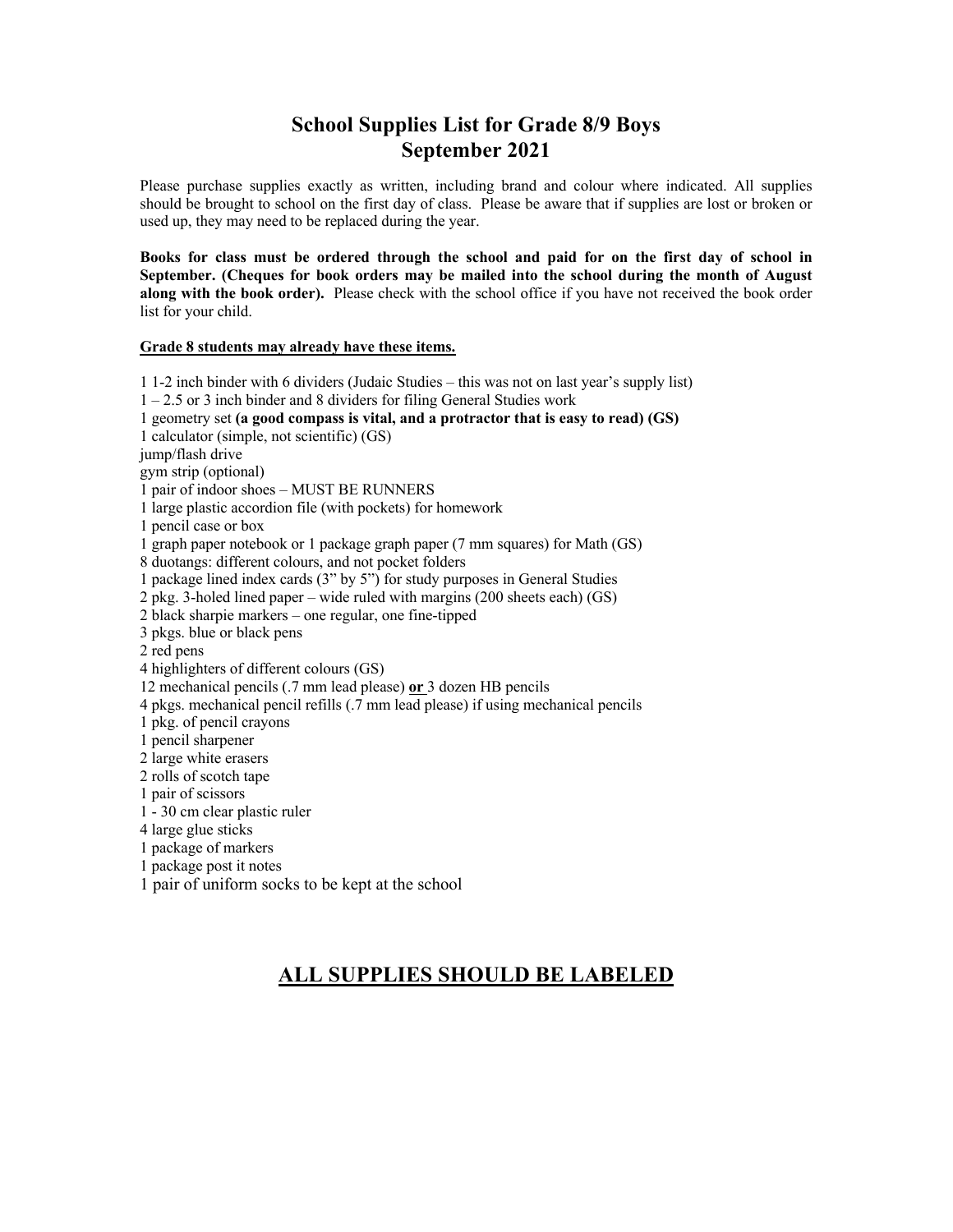### **School Supplies List for Grade 8/9 Boys September 2021**

Please purchase supplies exactly as written, including brand and colour where indicated. All supplies should be brought to school on the first day of class. Please be aware that if supplies are lost or broken or used up, they may need to be replaced during the year.

**Books for class must be ordered through the school and paid for on the first day of school in September. (Cheques for book orders may be mailed into the school during the month of August along with the book order).** Please check with the school office if you have not received the book order list for your child.

#### **Grade 8 students may already have these items.**

1 1-2 inch binder with 6 dividers (Judaic Studies – this was not on last year's supply list) 1 – 2.5 or 3 inch binder and 8 dividers for filing General Studies work 1 geometry set **(a good compass is vital, and a protractor that is easy to read) (GS)** 1 calculator (simple, not scientific) (GS) jump/flash drive gym strip (optional) 1 pair of indoor shoes – MUST BE RUNNERS 1 large plastic accordion file (with pockets) for homework 1 pencil case or box 1 graph paper notebook or 1 package graph paper (7 mm squares) for Math (GS) 8 duotangs: different colours, and not pocket folders 1 package lined index cards (3" by 5") for study purposes in General Studies 2 pkg. 3-holed lined paper – wide ruled with margins (200 sheets each) (GS) 2 black sharpie markers – one regular, one fine-tipped 3 pkgs. blue or black pens 2 red pens 4 highlighters of different colours (GS) 12 mechanical pencils (.7 mm lead please) **or** 3 dozen HB pencils 4 pkgs. mechanical pencil refills (.7 mm lead please) if using mechanical pencils 1 pkg. of pencil crayons 1 pencil sharpener 2 large white erasers 2 rolls of scotch tape 1 pair of scissors 1 - 30 cm clear plastic ruler 4 large glue sticks 1 package of markers 1 package post it notes 1 pair of uniform socks to be kept at the school

#### **ALL SUPPLIES SHOULD BE LABELED**